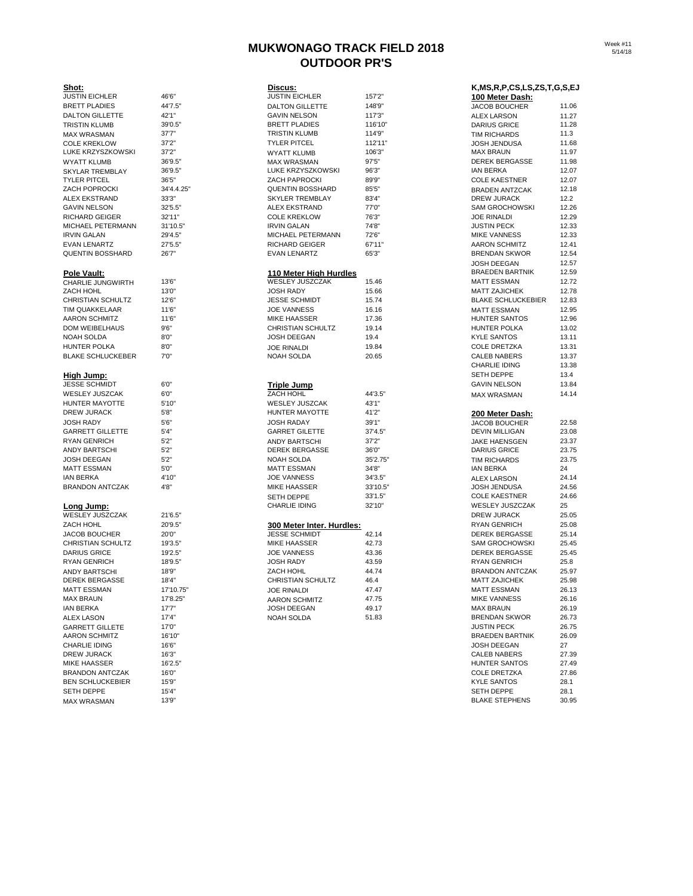# **MUKWONAGO TRACK FIELD 2018 OUTDOOR PR'S**

| Week #11 |
|----------|
| 5/14/18  |

| Shot:                                  |                     | Discus:                                           |                | K, MS, R, P, CS, LS, ZS, T, G, S, E          |              |
|----------------------------------------|---------------------|---------------------------------------------------|----------------|----------------------------------------------|--------------|
| <b>JUSTIN EICHLER</b>                  | 46'6"               | <b>JUSTIN EICHLER</b>                             | 157'2"         | 100 Meter Dash:                              |              |
| <b>BRETT PLADIES</b>                   | 44'7.5"             | <b>DALTON GILLETTE</b>                            | 148'9"         | <b>JACOB BOUCHER</b>                         | 11.0         |
| DALTON GILLETTE                        | 42'1"               | <b>GAVIN NELSON</b>                               | 117'3"         | <b>ALEX LARSON</b>                           | 11.2         |
| TRISTIN KLUMB                          | 39'0.5"             | <b>BRETT PLADIES</b>                              | 116'10"        | <b>DARIUS GRICE</b>                          | 11.2         |
| <b>MAX WRASMAN</b>                     | 37'7''              | TRISTIN KLUMB                                     | 114'9"         | <b>TIM RICHARDS</b>                          | 11.3         |
| <b>COLE KREKLOW</b>                    | 37'2"               | <b>TYLER PITCEL</b>                               | 112'11"        | <b>JOSH JENDUSA</b>                          | 11.6         |
| LUKE KRZYSZKOWSKI                      | 37'2"               | <b>WYATT KLUMB</b>                                | 106'3"         | <b>MAX BRAUN</b>                             | 11.9         |
| WYATT KLUMB                            | 36'9.5"             | <b>MAX WRASMAN</b>                                | 97'5"          | <b>DEREK BERGASSE</b>                        | 11.9<br>12.0 |
| SKYLAR TREMBLAY                        | 36'9.5"             | LUKE KRZYSZKOWSKI                                 | 96'3''         | IAN BERKA                                    | 12.0         |
| TYLER PITCEL<br>ZACH POPROCKI          | 36'5"<br>34'4.4.25" | ZACH PAPROCKI                                     | 89'9"          | <b>COLE KAESTNER</b>                         | 12.1         |
| ALEX EKSTRAND                          | 33'3"               | <b>QUENTIN BOSSHARD</b><br><b>SKYLER TREMBLAY</b> | 85'5"<br>83'4" | <b>BRADEN ANTZCAK</b><br>DREW JURACK         | 12.2         |
| GAVIN NELSON                           | 32'5.5"             | ALEX EKSTRAND                                     | 77'0"          | <b>SAM GROCHOWSKI</b>                        | 12.2         |
| RICHARD GEIGER                         | 32'11"              | <b>COLE KREKLOW</b>                               | 76'3"          | <b>JOE RINALDI</b>                           | 12.2         |
| MICHAEL PETERMANN                      | 31'10.5"            | <b>IRVIN GALAN</b>                                | 74'8"          | JUSTIN PECK                                  | 12.3         |
| <b>IRVIN GALAN</b>                     | 29'4.5"             | MICHAEL PETERMANN                                 | 72'6"          | <b>MIKE VANNESS</b>                          | 12.3         |
| EVAN LENARTZ                           | 27'5.5"             | RICHARD GEIGER                                    | 67'11"         | <b>AARON SCHMITZ</b>                         | 12.4         |
| <b>QUENTIN BOSSHARD</b>                | 26'7"               | <b>EVAN LENARTZ</b>                               | 65'3"          | <b>BRENDAN SKWOR</b>                         | 12.5         |
|                                        |                     |                                                   |                | <b>JOSH DEEGAN</b>                           | 12.5         |
| <u>Pole Vault:</u>                     |                     | <u>110 Meter High Hurdles</u>                     |                | <b>BRAEDEN BARTNIK</b>                       | 12.5         |
| CHARLIE JUNGWIRTH                      | 13'6"               | WESLEY JUSZCZAK                                   | 15.46          | <b>MATT ESSMAN</b>                           | 12.7         |
| ZACH HOHL                              | 13'0"               | <b>JOSH RADY</b>                                  | 15.66          | <b>MATT ZAJICHEK</b>                         | 12.7         |
| CHRISTIAN SCHULTZ                      | 12'6"               | <b>JESSE SCHMIDT</b>                              | 15.74          | <b>BLAKE SCHLUCKEBIER</b>                    | 12.8         |
| TIM QUAKKELAAR                         | 11'6"               | <b>JOE VANNESS</b>                                | 16.16          | <b>MATT ESSMAN</b>                           | 12.9         |
| AARON SCHMITZ                          | 11'6"               | MIKE HAASSER                                      | 17.36          | <b>HUNTER SANTOS</b>                         | 12.9         |
| DOM WEIBELHAUS                         | 9'6''               | <b>CHRISTIAN SCHULTZ</b>                          | 19.14          | <b>HUNTER POLKA</b>                          | 13.0         |
| NOAH SOLDA                             | 8'0''               | <b>JOSH DEEGAN</b>                                | 19.4           | <b>KYLE SANTOS</b>                           | 13.1         |
| HUNTER POLKA                           | 8'0''               | <b>JOE RINALDI</b>                                | 19.84          | <b>COLE DRETZKA</b>                          | 13.3         |
| <b>BLAKE SCHLUCKEBER</b>               | 7'0''               | NOAH SOLDA                                        | 20.65          | <b>CALEB NABERS</b>                          | 13.3         |
|                                        |                     |                                                   |                | <b>CHARLIE IDING</b>                         | 13.3         |
| High Jump:                             |                     |                                                   |                | <b>SETH DEPPE</b>                            | 13.4         |
| JESSE SCHMIDT                          | 6'0''               | Triple Jump                                       |                | <b>GAVIN NELSON</b>                          | 13.8         |
| WESLEY JUSZCAK                         | 6'0"                | ZACH HOHL                                         | 44'3.5"        | <b>MAX WRASMAN</b>                           | 14.1         |
| HUNTER MAYOTTE                         | 5'10"               | <b>WESLEY JUSZCAK</b>                             | 43'1"          |                                              |              |
| DREW JURACK                            | 5'8''               | HUNTER MAYOTTE                                    | 41'2"          | 200 Meter Dash:                              |              |
| JOSH RADY                              | 5'6''               | <b>JOSH RADAY</b>                                 | 39'1"          | <b>JACOB BOUCHER</b>                         | 22.5         |
| <b>GARRETT GILLETTE</b>                | 5'4"                | <b>GARRET GILETTE</b>                             | 37'4.5"        | <b>DEVIN MILLIGAN</b>                        | 23.0         |
| RYAN GENRICH                           | 5'2"                | <b>ANDY BARTSCHI</b>                              | 37'2"          | <b>JAKE HAENSGEN</b>                         | 23.3         |
| ANDY BARTSCHI                          | 5'2"                | <b>DEREK BERGASSE</b>                             | 36'0"          | <b>DARIUS GRICE</b>                          | 23.7         |
| JOSH DEEGAN                            | 5'2''               | NOAH SOLDA                                        | 35'2.75"       | <b>TIM RICHARDS</b>                          | 23.7         |
| MATT ESSMAN                            | 5'0"                | <b>MATT ESSMAN</b>                                | 34'8"          | <b>IAN BERKA</b>                             | 24           |
| IAN BERKA                              | 4'10"               | <b>JOE VANNESS</b>                                | 34'3.5"        | <b>ALEX LARSON</b>                           | 24.1         |
| <b>BRANDON ANTCZAK</b>                 | 4'8"                | MIKE HAASSER                                      | 33'10.5"       | JOSH JENDUSA                                 | 24.5         |
|                                        |                     | <b>SETH DEPPE</b>                                 | 33'1.5"        | <b>COLE KAESTNER</b>                         | 24.6         |
| <u>Long Jump:</u>                      |                     | <b>CHARLIE IDING</b>                              | 32'10"         | <b>WESLEY JUSZCZAK</b>                       | 25           |
| WESLEY JUSZCZAK                        | 21'6.5"             |                                                   |                | DREW JURACK                                  | 25.0         |
| ZACH HOHL                              | 20'9.5"             | 300 Meter Inter. Hurdles:                         |                | <b>RYAN GENRICH</b>                          | 25.0         |
| JACOB BOUCHER                          | 20'0"               | <b>JESSE SCHMIDT</b>                              | 42.14          | <b>DEREK BERGASSE</b>                        | 25.1         |
| CHRISTIAN SCHULTZ                      | 19'3.5"             | MIKE HAASSER                                      | 42.73          | <b>SAM GROCHOWSKI</b>                        | 25.4         |
| <b>DARIUS GRICE</b>                    | 19'2.5"             | <b>JOE VANNESS</b><br><b>JOSH RADY</b>            | 43.36          | <b>DEREK BERGASSE</b><br><b>RYAN GENRICH</b> | 25.4<br>25.8 |
| RYAN GENRICH                           | 18'9.5"<br>18'9"    | ZACH HOHL                                         | 43.59<br>44.74 | <b>BRANDON ANTCZAK</b>                       | 25.9         |
| ANDY BARTSCHI<br><b>DEREK BERGASSE</b> | 18'4"               | CHRISTIAN SCHULTZ                                 | 46.4           | <b>MATT ZAJICHEK</b>                         | 25.9         |
| MATT ESSMAN                            | 17'10.75"           |                                                   | 47.47          | <b>MATT ESSMAN</b>                           | 26.1         |
| <b>MAX BRAUN</b>                       | 17'8.25"            | <b>JOE RINALDI</b><br><b>AARON SCHMITZ</b>        | 47.75          | <b>MIKE VANNESS</b>                          | 26.1         |
| IAN BERKA                              | 17'7''              | JOSH DEEGAN                                       | 49.17          | <b>MAX BRAUN</b>                             | 26.1         |
| ALEX LASON                             | 17'4"               | NOAH SOLDA                                        | 51.83          | <b>BRENDAN SKWOR</b>                         | 26.7         |
| <b>GARRETT GILLETE</b>                 | 17'0"               |                                                   |                | JUSTIN PECK                                  | 26.7         |
| <b>AARON SCHMITZ</b>                   | 16'10"              |                                                   |                | <b>BRAEDEN BARTNIK</b>                       | 26.0         |
| CHARLIE IDING                          | 16'6"               |                                                   |                | JOSH DEEGAN                                  | 27           |
| DREW JURACK                            | 16'3"               |                                                   |                | <b>CALEB NABERS</b>                          | 27.3         |
| MIKE HAASSER                           | 16'2.5"             |                                                   |                | HUNTER SANTOS                                | 27.4         |
| BRANDON ANTCZAK                        | 16'0"               |                                                   |                | <b>COLE DRETZKA</b>                          | 27.8         |
| <b>BEN SCHLUCKEBIER</b>                | 15'9"               |                                                   |                | <b>KYLE SANTOS</b>                           | 28.1         |
|                                        |                     |                                                   |                |                                              |              |

| <u>Shot:</u>                   |            | Discus:                                           |          | K, MS, R, P, CS, LS, ZS, T, G, S, EJ |       |
|--------------------------------|------------|---------------------------------------------------|----------|--------------------------------------|-------|
| <b>JUSTIN EICHLER</b>          | 46'6"      | <b>JUSTIN EICHLER</b>                             | 157'2"   | 100 Meter Dash:                      |       |
| <b>BRETT PLADIES</b>           | 44'7.5"    | <b>DALTON GILLETTE</b>                            | 148'9"   | JACOB BOUCHER                        | 11.06 |
| DALTON GILLETTE                | 42'1"      | <b>GAVIN NELSON</b>                               | 117'3"   | <b>ALEX LARSON</b>                   | 11.27 |
| TRISTIN KLUMB                  | 39'0.5"    | <b>BRETT PLADIES</b>                              | 116'10"  | <b>DARIUS GRICE</b>                  | 11.28 |
| <b>MAX WRASMAN</b>             | 37'7"      | <b>TRISTIN KLUMB</b>                              | 114'9"   | TIM RICHARDS                         | 11.3  |
| <b>COLE KREKLOW</b>            | 37'2"      | <b>TYLER PITCEL</b>                               | 112'11"  | <b>JOSH JENDUSA</b>                  | 11.68 |
| LUKE KRZYSZKOWSKI              | 37'2"      | <b>WYATT KLUMB</b>                                | 106'3"   | <b>MAX BRAUN</b>                     | 11.97 |
| <b>WYATT KLUMB</b>             | 36'9.5"    | <b>MAX WRASMAN</b>                                | 97'5"    | <b>DEREK BERGASSE</b>                | 11.98 |
| SKYLAR TREMBLAY                | 36'9.5"    | LUKE KRZYSZKOWSKI                                 | 96'3"    | <b>IAN BERKA</b>                     | 12.07 |
| TYLER PITCEL                   | 36'5"      | <b>ZACH PAPROCKI</b>                              | 89'9"    | <b>COLE KAESTNER</b>                 | 12.07 |
| ZACH POPROCKI                  | 34'4.4.25" | <b>QUENTIN BOSSHARD</b>                           | 85'5"    | <b>BRADEN ANTZCAK</b>                | 12.18 |
| ALEX EKSTRAND                  | 33'3"      | SKYLER TREMBLAY                                   | 83'4"    | DREW JURACK                          | 12.2  |
| GAVIN NELSON                   | 32'5.5"    | <b>ALEX EKSTRAND</b>                              | 77'0"    | <b>SAM GROCHOWSKI</b>                | 12.26 |
| RICHARD GEIGER                 | 32'11"     | <b>COLE KREKLOW</b>                               | 76'3"    | <b>JOE RINALDI</b>                   | 12.29 |
| MICHAEL PETERMANN              | 31'10.5'   | <b>IRVIN GALAN</b>                                | 74'8"    | <b>JUSTIN PECK</b>                   | 12.33 |
| IRVIN GALAN                    | 29'4.5"    | MICHAEL PETERMANN                                 | 72'6"    | <b>MIKE VANNESS</b>                  | 12.33 |
| <b>EVAN LENARTZ</b>            | 27'5.5"    | RICHARD GEIGER                                    | 67'11"   | <b>AARON SCHMITZ</b>                 | 12.41 |
| <b>QUENTIN BOSSHARD</b>        | 26'7"      | <b>EVAN LENARTZ</b>                               | 65'3"    | <b>BRENDAN SKWOR</b>                 | 12.54 |
|                                |            |                                                   |          | JOSH DEEGAN                          | 12.57 |
|                                |            |                                                   |          | <b>BRAEDEN BARTNIK</b>               | 12.59 |
| Pole Vault:                    | 13'6"      | 110 Meter High Hurdles<br>WESLEY JUSZCZAK         | 15.46    | <b>MATT ESSMAN</b>                   | 12.72 |
| CHARLIE JUNGWIRTH<br>ZACH HOHL | 13'0"      | <b>JOSH RADY</b>                                  |          | <b>MATT ZAJICHEK</b>                 | 12.78 |
|                                |            |                                                   | 15.66    |                                      | 12.83 |
| CHRISTIAN SCHULTZ              | 12'6"      | <b>JESSE SCHMIDT</b>                              | 15.74    | <b>BLAKE SCHLUCKEBIER</b>            |       |
| TIM QUAKKELAAR                 | 11'6"      | <b>JOE VANNESS</b>                                | 16.16    | <b>MATT ESSMAN</b>                   | 12.95 |
| AARON SCHMITZ                  | 11'6"      | MIKE HAASSER                                      | 17.36    | HUNTER SANTOS                        | 12.96 |
| DOM WEIBELHAUS                 | 9'6''      | CHRISTIAN SCHULTZ                                 | 19.14    | <b>HUNTER POLKA</b>                  | 13.02 |
| NOAH SOLDA                     | 8'0''      | JOSH DEEGAN                                       | 19.4     | <b>KYLE SANTOS</b>                   | 13.11 |
| <b>HUNTER POLKA</b>            | 8'0''      | <b>JOE RINALDI</b>                                | 19.84    | <b>COLE DRETZKA</b>                  | 13.31 |
| BLAKE SCHLUCKEBER              | 7'0''      | NOAH SOLDA                                        | 20.65    | <b>CALEB NABERS</b>                  | 13.37 |
|                                |            |                                                   |          | <b>CHARLIE IDING</b>                 | 13.38 |
| High Jump:                     |            |                                                   |          | <b>SETH DEPPE</b>                    | 13.4  |
| JESSE SCHMIDT                  | 6'0''      | <b>Triple Jump</b>                                |          | <b>GAVIN NELSON</b>                  | 13.84 |
| WESLEY JUSZCAK                 | 6'0"       | ZACH HOHL                                         | 44'3.5"  | <b>MAX WRASMAN</b>                   | 14.14 |
| HUNTER MAYOTTE                 | 5'10"      | WESLEY JUSZCAK                                    | 43'1"    |                                      |       |
| DREW JURACK                    | 5'8''      | HUNTER MAYOTTE                                    | 41'2"    | 200 Meter Dash:                      |       |
| JOSH RADY                      | 5'6''      | <b>JOSH RADAY</b>                                 | 39'1"    | <b>JACOB BOUCHER</b>                 | 22.58 |
| <b>GARRETT GILLETTE</b>        | 5'4''      | <b>GARRET GILETTE</b>                             | 37'4.5"  | <b>DEVIN MILLIGAN</b>                | 23.08 |
| RYAN GENRICH                   | 5'2"       | <b>ANDY BARTSCHI</b>                              | 37'2"    | <b>JAKE HAENSGEN</b>                 | 23.37 |
| ANDY BARTSCHI                  | 5'2"       | DEREK BERGASSE                                    | 36'0"    | <b>DARIUS GRICE</b>                  | 23.75 |
| <b>JOSH DEEGAN</b>             | 5'2''      | <b>NOAH SOLDA</b>                                 | 35'2.75" | <b>TIM RICHARDS</b>                  | 23.75 |
| <b>MATT ESSMAN</b>             | 5'0"       | <b>MATT ESSMAN</b>                                | 34'8"    | <b>IAN BERKA</b>                     | 24    |
| IAN BERKA                      | 4'10"      | <b>JOE VANNESS</b>                                | 34'3.5"  | <b>ALEX LARSON</b>                   | 24.14 |
| BRANDON ANTCZAK                | 4'8"       | <b>MIKE HAASSER</b>                               | 33'10.5" | <b>JOSH JENDUSA</b>                  | 24.56 |
|                                |            | SETH DEPPE                                        | 33'1.5"  | <b>COLE KAESTNER</b>                 | 24.66 |
| Long Jump:                     |            | <b>CHARLIE IDING</b>                              | 32'10"   | WESLEY JUSZCZAK                      | 25    |
| WESLEY JUSZCZAK                | 21'6.5"    |                                                   |          | <b>DREW JURACK</b>                   | 25.05 |
| ZACH HOHL                      | 20'9.5"    |                                                   |          | <b>RYAN GENRICH</b>                  | 25.08 |
| <b>JACOB BOUCHER</b>           | 20'0"      | 300 Meter Inter. Hurdles:<br><b>JESSE SCHMIDT</b> | 42.14    | <b>DEREK BERGASSE</b>                | 25.14 |
|                                |            |                                                   |          |                                      |       |
| CHRISTIAN SCHULTZ              | 19'3.5"    | MIKE HAASSER                                      | 42.73    | <b>SAM GROCHOWSKI</b>                | 25.45 |
| DARIUS GRICE                   | 19'2.5"    | <b>JOE VANNESS</b>                                | 43.36    | <b>DEREK BERGASSE</b>                | 25.45 |
| <b>RYAN GENRICH</b>            | 18'9.5"    | JOSH RADY                                         | 43.59    | RYAN GENRICH                         | 25.8  |
| <b>ANDY BARTSCHI</b>           | 18'9"      | ZACH HOHL                                         | 44.74    | <b>BRANDON ANTCZAK</b>               | 25.97 |
| DEREK BERGASSE                 | 18'4"      | CHRISTIAN SCHULTZ                                 | 46.4     | <b>MATT ZAJICHEK</b>                 | 25.98 |
| MATT ESSMAN                    | 17'10.75"  | <b>JOE RINALDI</b>                                | 47.47    | <b>MATT ESSMAN</b>                   | 26.13 |
| MAX BRAUN                      | 17'8.25"   | <b>AARON SCHMITZ</b>                              | 47.75    | <b>MIKE VANNESS</b>                  | 26.16 |
| IAN BERKA                      | 17'7''     | <b>JOSH DEEGAN</b>                                | 49.17    | <b>MAX BRAUN</b>                     | 26.19 |
| ALEX LASON                     | 17'4"      | <b>NOAH SOLDA</b>                                 | 51.83    | <b>BRENDAN SKWOR</b>                 | 26.73 |
| <b>GARRETT GILLETE</b>         | 17'0"      |                                                   |          | <b>JUSTIN PECK</b>                   | 26.75 |
| AARON SCHMITZ                  | 16'10"     |                                                   |          | <b>BRAEDEN BARTNIK</b>               | 26.09 |
| CHARLIE IDING                  | 16'6"      |                                                   |          | <b>JOSH DEEGAN</b>                   | 27    |
| <b>DREW JURACK</b>             | 16'3"      |                                                   |          | <b>CALEB NABERS</b>                  | 27.39 |
| MIXF HIAA COFFT                | 1010E      |                                                   |          | LUINTED CANTOC                       | 27.40 |

| Shot:                    |            | Discus:                   |                   | K,MS,R,P,CS,LS,ZS,T,G,S,EJ |       |
|--------------------------|------------|---------------------------|-------------------|----------------------------|-------|
| <b>JUSTIN EICHLER</b>    | 46'6"      | <b>JUSTIN EICHLER</b>     | 157'2"            | 100 Meter Dash:            |       |
| <b>BRETT PLADIES</b>     | 44'7.5"    | <b>DALTON GILLETTE</b>    | 148'9"            | <b>JACOB BOUCHER</b>       | 11.06 |
| <b>DALTON GILLETTE</b>   | 42'1"      | <b>GAVIN NELSON</b>       | 117'3"            | <b>ALEX LARSON</b>         | 11.27 |
| TRISTIN KLUMB            | 39'0.5"    | <b>BRETT PLADIES</b>      | 116'10"           | <b>DARIUS GRICE</b>        | 11.28 |
| <b>MAX WRASMAN</b>       | 37'7''     | <b>TRISTIN KLUMB</b>      | 114'9"            | TIM RICHARDS               | 11.3  |
| <b>COLE KREKLOW</b>      | 37'2"      | <b>TYLER PITCEL</b>       | 112'11'           | <b>JOSH JENDUSA</b>        | 11.68 |
| LUKE KRZYSZKOWSKI        | 37'2"      | <b>WYATT KLUMB</b>        | 106'3"            | <b>MAX BRAUN</b>           | 11.97 |
| <b>WYATT KLUMB</b>       | 36'9.5"    | <b>MAX WRASMAN</b>        | 97'5"             | <b>DEREK BERGASSE</b>      | 11.98 |
| SKYLAR TREMBLAY          | 36'9.5"    | LUKE KRZYSZKOWSKI         | 96'3"             | <b>IAN BERKA</b>           | 12.07 |
| <b>TYLER PITCEL</b>      | 36'5"      | <b>ZACH PAPROCKI</b>      | 89'9"             | <b>COLE KAESTNER</b>       | 12.07 |
| <b>ZACH POPROCKI</b>     | 34'4.4.25" | <b>QUENTIN BOSSHARD</b>   | 85'5"             | <b>BRADEN ANTZCAK</b>      | 12.18 |
| ALEX EKSTRAND            | 33'3"      | <b>SKYLER TREMBLAY</b>    | 83'4"             | DREW JURACK                | 12.2  |
| <b>GAVIN NELSON</b>      | 32'5.5"    | <b>ALEX EKSTRAND</b>      | 77'0"             | <b>SAM GROCHOWSKI</b>      | 12.26 |
| <b>RICHARD GEIGER</b>    | 32'11"     | <b>COLE KREKLOW</b>       | 76'3"             | <b>JOE RINALDI</b>         | 12.29 |
| MICHAEL PETERMANN        | 31'10.5"   | <b>IRVIN GALAN</b>        | 74'8"             | <b>JUSTIN PECK</b>         | 12.33 |
| <b>IRVIN GALAN</b>       | 29'4.5"    | MICHAEL PETERMANN         | 72'6"             | <b>MIKE VANNESS</b>        | 12.33 |
| <b>EVAN LENARTZ</b>      | 27'5.5"    | <b>RICHARD GEIGER</b>     | 67'11"            | <b>AARON SCHMITZ</b>       | 12.41 |
| <b>QUENTIN BOSSHARD</b>  | 26'7"      | <b>EVAN LENARTZ</b>       | 65'3"             | <b>BRENDAN SKWOR</b>       | 12.54 |
|                          |            |                           |                   | <b>JOSH DEEGAN</b>         | 12.57 |
| <b>Pole Vault:</b>       |            | 110 Meter High Hurdles    |                   | <b>BRAEDEN BARTNIK</b>     | 12.59 |
| CHARLIE JUNGWIRTH        | 13'6"      | <b>WESLEY JUSZCZAK</b>    | 15.46             | <b>MATT ESSMAN</b>         | 12.72 |
| ZACH HOHL                | 13'0"      | <b>JOSH RADY</b>          | 15.66             | <b>MATT ZAJICHEK</b>       | 12.78 |
| CHRISTIAN SCHULTZ        | 12'6"      | <b>JESSE SCHMIDT</b>      | 15.74             | <b>BLAKE SCHLUCKEBIER</b>  | 12.83 |
| TIM QUAKKELAAR           | 11'6"      | <b>JOE VANNESS</b>        | 16.16             | <b>MATT ESSMAN</b>         | 12.95 |
| <b>AARON SCHMITZ</b>     | 11'6"      | <b>MIKE HAASSER</b>       | 17.36             | HUNTER SANTOS              | 12.96 |
| DOM WEIBELHAUS           | 9'6''      | CHRISTIAN SCHULTZ         | 19.14             | <b>HUNTER POLKA</b>        | 13.02 |
| NOAH SOLDA               | 8'0''      | <b>JOSH DEEGAN</b>        | 19.4              | <b>KYLE SANTOS</b>         | 13.11 |
|                          |            |                           |                   |                            |       |
| HUNTER POLKA             | 8'0''      | <b>JOE RINALDI</b>        | 19.84             | <b>COLE DRETZKA</b>        | 13.31 |
| <b>BLAKE SCHLUCKEBER</b> | 7'0''      | <b>NOAH SOLDA</b>         | 20.65             | <b>CALEB NABERS</b>        | 13.37 |
|                          |            |                           |                   | <b>CHARLIE IDING</b>       | 13.38 |
| High Jump:               |            |                           |                   | <b>SETH DEPPE</b>          | 13.4  |
| <b>JESSE SCHMIDT</b>     | 6'0''      | <b>Triple Jump</b>        |                   | <b>GAVIN NELSON</b>        | 13.84 |
| WESLEY JUSZCAK           | 6'0"       | ZACH HOHL                 | 44'3.5"           | <b>MAX WRASMAN</b>         | 14.14 |
| HUNTER MAYOTTE           | 5'10"      | <b>WESLEY JUSZCAK</b>     | 43'1"             |                            |       |
| DREW JURACK              | 5'8''      | HUNTER MAYOTTE            | 41'2"             | <u> 200 Meter Dash:</u>    |       |
| <b>JOSH RADY</b>         | 5'6''      | <b>JOSH RADAY</b>         | 39'1"             | <b>JACOB BOUCHER</b>       | 22.58 |
| <b>GARRETT GILLETTE</b>  | 5'4''      | <b>GARRET GILETTE</b>     | 37'4.5"           | <b>DEVIN MILLIGAN</b>      | 23.08 |
| <b>RYAN GENRICH</b>      | 5'2''      | <b>ANDY BARTSCHI</b>      | 37'2"             | <b>JAKE HAENSGEN</b>       | 23.37 |
| <b>ANDY BARTSCHI</b>     | 5'2''      | <b>DEREK BERGASSE</b>     | 36'0"             | <b>DARIUS GRICE</b>        | 23.75 |
| JOSH DEEGAN              | 5'2"       | <b>NOAH SOLDA</b>         | 35'2.75"          | <b>TIM RICHARDS</b>        | 23.75 |
| <b>MATT ESSMAN</b>       | 5'0"       | <b>MATT ESSMAN</b>        | 34'8"             | <b>IAN BERKA</b>           | 24    |
| <b>IAN BERKA</b>         | 4'10"      | <b>JOE VANNESS</b>        | 34'3.5"           | <b>ALEX LARSON</b>         | 24.14 |
| <b>BRANDON ANTCZAK</b>   | 4'8"       | <b>MIKE HAASSER</b>       | 33'10.5"          | <b>JOSH JENDUSA</b>        | 24.56 |
|                          |            |                           |                   |                            | 24.66 |
|                          |            | <b>SETH DEPPE</b>         | 33'1.5"<br>32'10" | <b>COLE KAESTNER</b>       | 25    |
| <u>Long Jump:</u>        |            | <b>CHARLIE IDING</b>      |                   | <b>WESLEY JUSZCZAK</b>     |       |
| WESLEY JUSZCZAK          | 21'6.5"    |                           |                   | DREW JURACK                | 25.05 |
| ZACH HOHL                | 20'9.5"    | 300 Meter Inter. Hurdles: |                   | <b>RYAN GENRICH</b>        | 25.08 |
| <b>JACOB BOUCHER</b>     | 20'0"      | <b>JESSE SCHMIDT</b>      | 42.14             | <b>DEREK BERGASSE</b>      | 25.14 |
| CHRISTIAN SCHULTZ        | 19'3.5"    | <b>MIKE HAASSER</b>       | 42.73             | <b>SAM GROCHOWSKI</b>      | 25.45 |
| <b>DARIUS GRICE</b>      | 19'2.5"    | <b>JOE VANNESS</b>        | 43.36             | <b>DEREK BERGASSE</b>      | 25.45 |
| <b>RYAN GENRICH</b>      | 18'9.5"    | <b>JOSH RADY</b>          | 43.59             | <b>RYAN GENRICH</b>        | 25.8  |
| <b>ANDY BARTSCHI</b>     | 18'9"      | ZACH HOHL                 | 44.74             | <b>BRANDON ANTCZAK</b>     | 25.97 |
| <b>DEREK BERGASSE</b>    | 18'4"      | CHRISTIAN SCHULTZ         | 46.4              | <b>MATT ZAJICHEK</b>       | 25.98 |
| <b>MATT ESSMAN</b>       | 17'10.75"  | JOE RINALDI               | 47.47             | <b>MATT ESSMAN</b>         | 26.13 |
| <b>MAX BRAUN</b>         | 17'8.25"   | <b>AARON SCHMITZ</b>      | 47.75             | <b>MIKE VANNESS</b>        | 26.16 |
| <b>IAN BERKA</b>         | 17'7''     | JOSH DEEGAN               | 49.17             | <b>MAX BRAUN</b>           | 26.19 |
| <b>ALEX LASON</b>        | 17'4"      | NOAH SOLDA                | 51.83             | <b>BRENDAN SKWOR</b>       | 26.73 |
| <b>GARRETT GILLETE</b>   | 17'0"      |                           |                   | <b>JUSTIN PECK</b>         | 26.75 |
| <b>AARON SCHMITZ</b>     | 16'10"     |                           |                   | <b>BRAEDEN BARTNIK</b>     | 26.09 |
| <b>CHARLIE IDING</b>     | 16'6"      |                           |                   | JOSH DEEGAN                | 27    |
| DREW JURACK              | 16'3"      |                           |                   | <b>CALEB NABERS</b>        | 27.39 |
| <b>MIKE HAASSER</b>      |            |                           |                   | HUNTER SANTOS              | 27.49 |
|                          | 16'2.5"    |                           |                   |                            |       |
| <b>BRANDON ANTCZAK</b>   | 16'0"      |                           |                   | <b>COLE DRETZKA</b>        | 27.86 |
| <b>BEN SCHLUCKEBIER</b>  | 15'9"      |                           |                   | <b>KYLE SANTOS</b>         | 28.1  |
| SETH DEPPE               | 15'4"      |                           |                   | SETH DEPPE                 | 28.1  |
| <b>MAX WRASMAN</b>       | 13'9"      |                           |                   | <b>BLAKE STEPHENS</b>      | 30.95 |